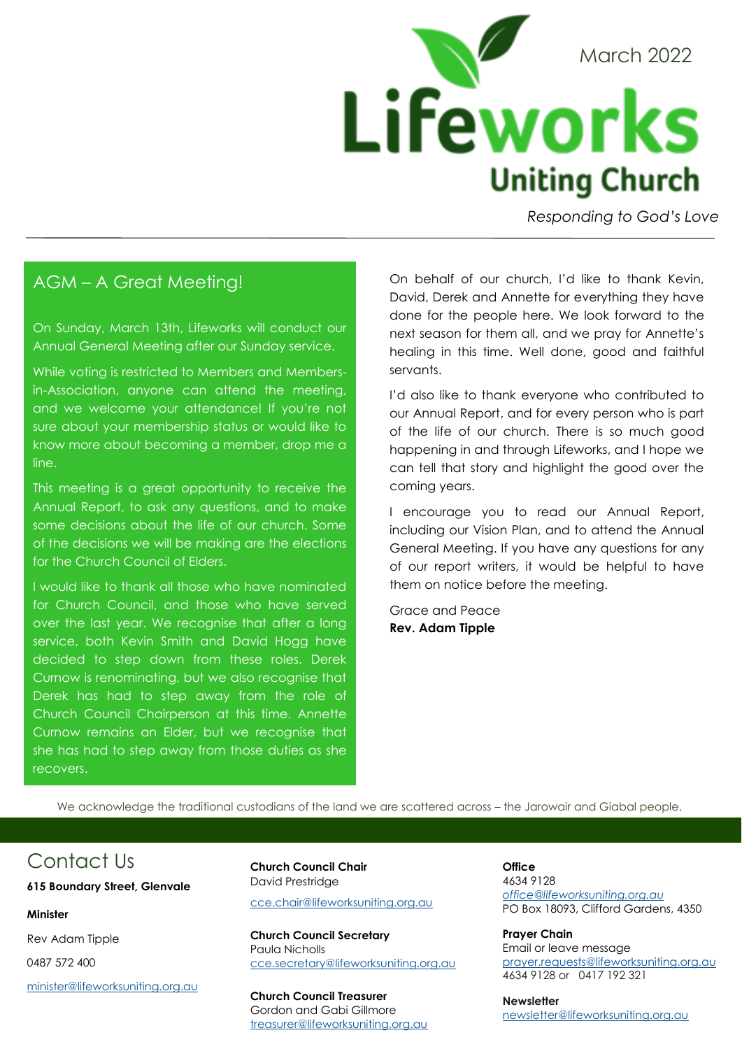

*Responding to God's Love* 

## AGM – A Great Meeting!

On Sunday, March 13th, Lifeworks will conduct our Annual General Meeting after our Sunday service.

While voting is restricted to Members and Membersin-Association, anyone can attend the meeting, and we welcome your attendance! If you're not sure about your membership status or would like to know more about becoming a member, drop me a line.

This meeting is a great opportunity to receive the Annual Report, to ask any questions, and to make some decisions about the life of our church. Some of the decisions we will be making are the elections for the Church Council of Elders.

I would like to thank all those who have nominated for Church Council, and those who have served over the last year. We recognise that after a long service, both Kevin Smith and David Hogg have decided to step down from these roles. Derek Curnow is renominating, but we also recognise that Derek has had to step away from the role of Church Council Chairperson at this time. Annette Curnow remains an Elder, but we recognise that she has had to step away from those duties as she recovers.

On behalf of our church, I'd like to thank Kevin, David, Derek and Annette for everything they have done for the people here. We look forward to the next season for them all, and we pray for Annette's healing in this time. Well done, good and faithful servants.

I'd also like to thank everyone who contributed to our Annual Report, and for every person who is part of the life of our church. There is so much good happening in and through Lifeworks, and I hope we can tell that story and highlight the good over the coming years.

I encourage you to read our Annual Report, including our Vision Plan, and to attend the Annual General Meeting. If you have any questions for any of our report writers, it would be helpful to have them on notice before the meeting.

Grace and Peace **Rev. Adam Tipple**

We acknowledge the traditional custodians of the land we are scattered across – the Jarowair and Giabal people.

## Contact Us

**615 Boundary Street, Glenvale**

#### **Minister**

Rev Adam Tipple 0487 572 400

[minister@lifeworksuniting.org.au](mailto:minister@lifeworksuniting.org.au)

**Church Council Chair** David Prestridge [cce.chair@lifeworksuniting.org.au](mailto:cce.chair@lifeworksuniting.org.au)

**Church Council Secretary** Paula Nicholls [cce.secretary@lifeworksuniting.org.au](mailto:cce.secretary@lifeworksuniting.org.au)

**Church Council Treasurer** Gordon and Gabi Gillmore [treasurer@lifeworksuniting.org.au](mailto:treasurer@lifeworksuniting.org.au) **Office** 4634 9128 *[office@lifeworksuniting.org.au](mailto:office@lifeworksuniting.org.au)* PO Box 18093, Clifford Gardens, 4350

**Prayer Chain** Email or leave message [prayer.requests@lifeworksuniting.org.au](mailto:prayer.requests@lifeworksuniting.org.au) 4634 9128 or0417 192 321

**Newsletter** [newsletter@lifeworksuniting.org.au](mailto:newsletter@lifeworksuniting.org.au)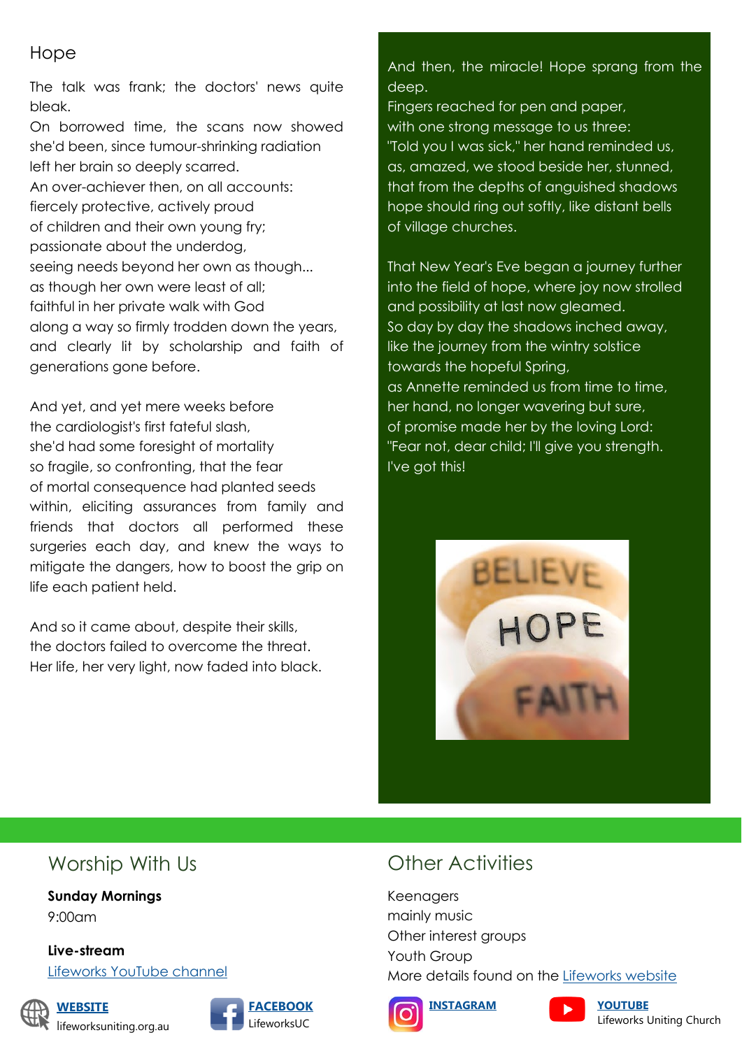#### Hope

The talk was frank; the doctors' news quite bleak.

On borrowed time, the scans now showed she'd been, since tumour-shrinking radiation left her brain so deeply scarred. An over-achiever then, on all accounts: fiercely protective, actively proud of children and their own young fry; passionate about the underdog, seeing needs beyond her own as though... as though her own were least of all; faithful in her private walk with God along a way so firmly trodden down the years, and clearly lit by scholarship and faith of generations gone before.

And yet, and yet mere weeks before the cardiologist's first fateful slash, she'd had some foresight of mortality so fragile, so confronting, that the fear of mortal consequence had planted seeds within, eliciting assurances from family and friends that doctors all performed these surgeries each day, and knew the ways to mitigate the dangers, how to boost the grip on life each patient held.

And so it came about, despite their skills, the doctors failed to overcome the threat. Her life, her very light, now faded into black. And then, the miracle! Hope sprang from the deep.

Fingers reached for pen and paper, with one strong message to us three: "Told you I was sick," her hand reminded us, as, amazed, we stood beside her, stunned, that from the depths of anguished shadows hope should ring out softly, like distant bells of village churches.

That New Year's Eve began a journey further into the field of hope, where joy now strolled and possibility at last now gleamed. So day by day the shadows inched away, like the journey from the wintry solstice towards the hopeful Spring, as Annette reminded us from time to time, her hand, no longer wavering but sure, of promise made her by the loving Lord: "Fear not, dear child; I'll give you strength. I've got this!



# Worship With Us

**Sunday Mornings** 9:00am

**Live-stream**

[Lifeworks YouTube channel](https://www.youtube.com/channel/UCcZJJJZ7xf5v-mpVP0_E-CA)



**[WEBSITE](https://lifeworksuniting.org.au/)** lifeworksuniting.org.au



# Other Activities

Keenagers mainly music Other interest groups Youth Group More details found on the [Lifeworks website](https://lifeworksuniting.org.au/)





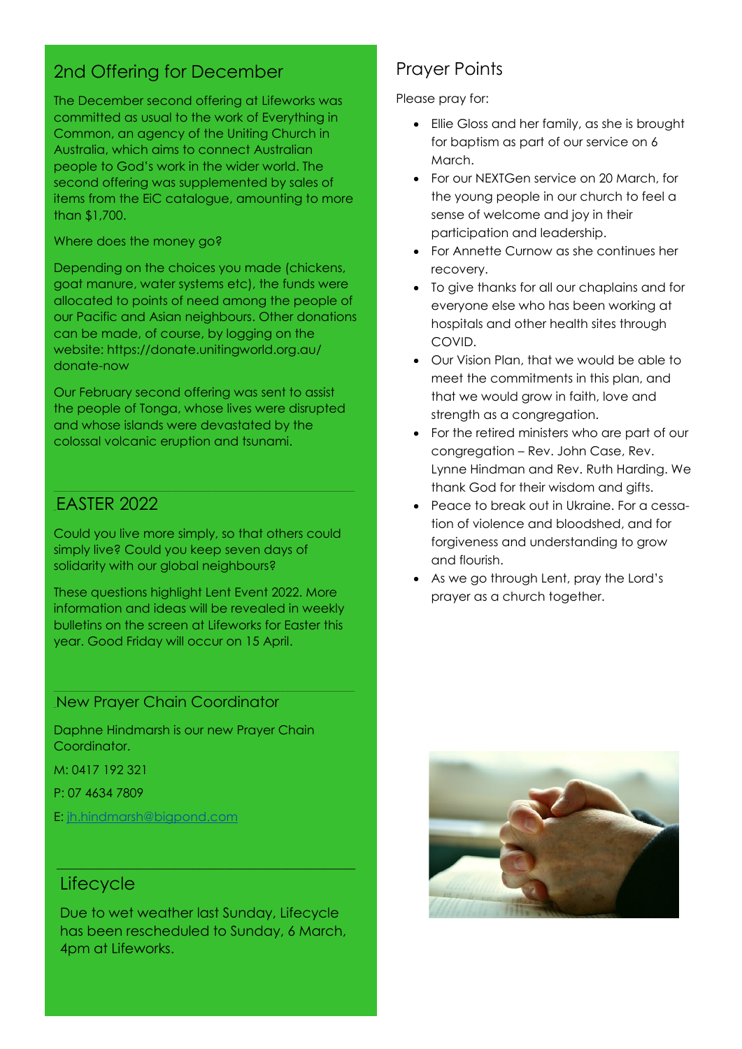# 2nd Offering for December

The December second offering at Lifeworks was committed as usual to the work of Everything in Common, an agency of the Uniting Church in Australia, which aims to connect Australian people to God's work in the wider world. The second offering was supplemented by sales of items from the EiC catalogue, amounting to more than \$1,700.

#### Where does the money go?

Depending on the choices you made (chickens, goat manure, water systems etc), the funds were allocated to points of need among the people of our Pacific and Asian neighbours. Other donations can be made, of course, by logging on the website: https://donate.unitingworld.org.au/ donate-now

Our February second offering was sent to assist the people of Tonga, whose lives were disrupted and whose islands were devastated by the colossal volcanic eruption and tsunami.

### \_EASTER 2022

Could you live more simply, so that others could simply live? Could you keep seven days of solidarity with our global neighbours?

These questions highlight Lent Event 2022. More information and ideas will be revealed in weekly bulletins on the screen at Lifeworks for Easter this year. Good Friday will occur on 15 April.

#### \_New Prayer Chain Coordinator

Daphne Hindmarsh is our new Prayer Chain Coordinator.

M: 0417 192 321

P: 07 4634 7809

E: [jh.hindmarsh@bigpond.com](mailto:jh.hindmarsh@bigpond.com)

#### **Lifecycle**

Due to wet weather last Sunday, Lifecycle has been rescheduled to Sunday, 6 March, 4pm at Lifeworks.

 $\mathcal{L}_\mathcal{L} = \{ \mathcal{L}_\mathcal{L} = \{ \mathcal{L}_\mathcal{L} = \{ \mathcal{L}_\mathcal{L} = \{ \mathcal{L}_\mathcal{L} = \{ \mathcal{L}_\mathcal{L} = \{ \mathcal{L}_\mathcal{L} = \{ \mathcal{L}_\mathcal{L} = \{ \mathcal{L}_\mathcal{L} = \{ \mathcal{L}_\mathcal{L} = \{ \mathcal{L}_\mathcal{L} = \{ \mathcal{L}_\mathcal{L} = \{ \mathcal{L}_\mathcal{L} = \{ \mathcal{L}_\mathcal{L} = \{ \mathcal{L}_\mathcal{$ 

## Prayer Points

Please pray for:

- Ellie Gloss and her family, as she is brought for baptism as part of our service on 6 March.
- For our NEXTGen service on 20 March, for the young people in our church to feel a sense of welcome and joy in their participation and leadership.
- For Annette Curnow as she continues her recovery.
- To give thanks for all our chaplains and for everyone else who has been working at hospitals and other health sites through COVID.
- Our Vision Plan, that we would be able to meet the commitments in this plan, and that we would grow in faith, love and strength as a congregation.
- For the retired ministers who are part of our congregation – Rev. John Case, Rev. Lynne Hindman and Rev. Ruth Harding. We thank God for their wisdom and gifts.
- Peace to break out in Ukraine. For a cessation of violence and bloodshed, and for forgiveness and understanding to grow and flourish.
- As we go through Lent, pray the Lord's prayer as a church together.